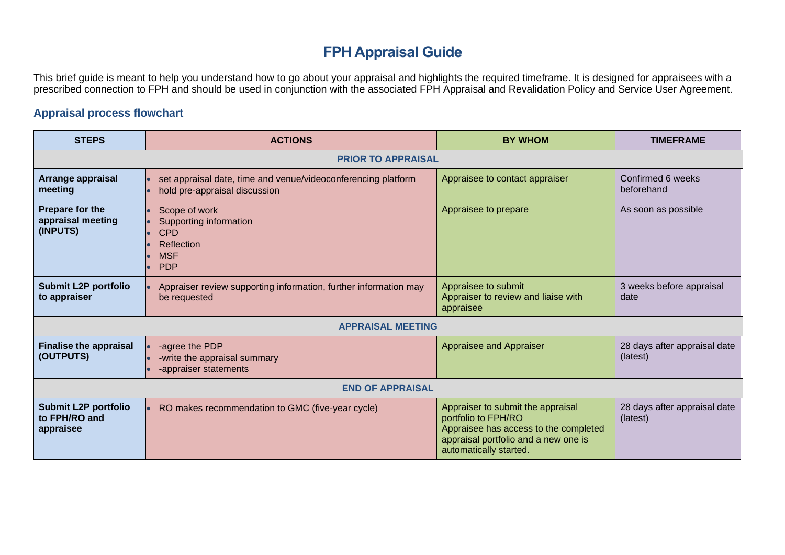## **FPH Appraisal Guide**

This brief guide is meant to help you understand how to go about your appraisal and highlights the required timeframe. It is designed for appraisees with a prescribed connection to FPH and should be used in conjunction with the associated FPH Appraisal and Revalidation Policy and Service User Agreement.

## **Appraisal process flowchart**

| <b>STEPS</b>                                              | <b>ACTIONS</b>                                                                                  | <b>BY WHOM</b>                                                                                                                                                      | <b>TIMEFRAME</b>                         |  |
|-----------------------------------------------------------|-------------------------------------------------------------------------------------------------|---------------------------------------------------------------------------------------------------------------------------------------------------------------------|------------------------------------------|--|
| <b>PRIOR TO APPRAISAL</b>                                 |                                                                                                 |                                                                                                                                                                     |                                          |  |
| Arrange appraisal<br>meeting                              | set appraisal date, time and venue/videoconferencing platform<br>hold pre-appraisal discussion  | Appraisee to contact appraiser                                                                                                                                      | Confirmed 6 weeks<br>beforehand          |  |
| Prepare for the<br>appraisal meeting<br>(INPUTS)          | Scope of work<br>Supporting information<br><b>CPD</b><br>Reflection<br><b>MSF</b><br><b>PDP</b> | Appraisee to prepare                                                                                                                                                | As soon as possible                      |  |
| <b>Submit L2P portfolio</b><br>to appraiser               | Appraiser review supporting information, further information may<br>be requested                | Appraisee to submit<br>Appraiser to review and liaise with<br>appraisee                                                                                             | 3 weeks before appraisal<br>date         |  |
| <b>APPRAISAL MEETING</b>                                  |                                                                                                 |                                                                                                                                                                     |                                          |  |
| <b>Finalise the appraisal</b><br>(OUTPUTS)                | -agree the PDP<br>-write the appraisal summary<br>-appraiser statements                         | Appraisee and Appraiser                                                                                                                                             | 28 days after appraisal date<br>(latest) |  |
| <b>END OF APPRAISAL</b>                                   |                                                                                                 |                                                                                                                                                                     |                                          |  |
| <b>Submit L2P portfolio</b><br>to FPH/RO and<br>appraisee | RO makes recommendation to GMC (five-year cycle)                                                | Appraiser to submit the appraisal<br>portfolio to FPH/RO<br>Appraisee has access to the completed<br>appraisal portfolio and a new one is<br>automatically started. | 28 days after appraisal date<br>(latest) |  |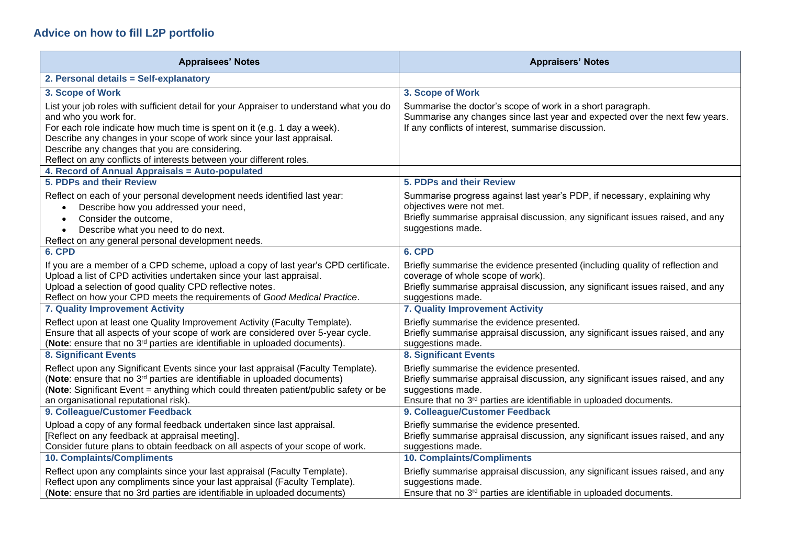## **Advice on how to fill L2P portfolio**

| <b>Appraisees' Notes</b>                                                                                                                                                                                                                                                                                                                                                                       | <b>Appraisers' Notes</b>                                                                                                                                                                                                           |
|------------------------------------------------------------------------------------------------------------------------------------------------------------------------------------------------------------------------------------------------------------------------------------------------------------------------------------------------------------------------------------------------|------------------------------------------------------------------------------------------------------------------------------------------------------------------------------------------------------------------------------------|
| 2. Personal details = Self-explanatory                                                                                                                                                                                                                                                                                                                                                         |                                                                                                                                                                                                                                    |
| 3. Scope of Work                                                                                                                                                                                                                                                                                                                                                                               | 3. Scope of Work                                                                                                                                                                                                                   |
| List your job roles with sufficient detail for your Appraiser to understand what you do<br>and who you work for.<br>For each role indicate how much time is spent on it (e.g. 1 day a week).<br>Describe any changes in your scope of work since your last appraisal.<br>Describe any changes that you are considering.<br>Reflect on any conflicts of interests between your different roles. | Summarise the doctor's scope of work in a short paragraph.<br>Summarise any changes since last year and expected over the next few years.<br>If any conflicts of interest, summarise discussion.                                   |
| 4. Record of Annual Appraisals = Auto-populated                                                                                                                                                                                                                                                                                                                                                |                                                                                                                                                                                                                                    |
| 5. PDPs and their Review                                                                                                                                                                                                                                                                                                                                                                       | 5. PDPs and their Review                                                                                                                                                                                                           |
| Reflect on each of your personal development needs identified last year:<br>Describe how you addressed your need,<br>$\bullet$<br>Consider the outcome,<br>$\bullet$<br>Describe what you need to do next.<br>$\bullet$<br>Reflect on any general personal development needs.                                                                                                                  | Summarise progress against last year's PDP, if necessary, explaining why<br>objectives were not met.<br>Briefly summarise appraisal discussion, any significant issues raised, and any<br>suggestions made.                        |
| 6. CPD                                                                                                                                                                                                                                                                                                                                                                                         | 6. CPD                                                                                                                                                                                                                             |
| If you are a member of a CPD scheme, upload a copy of last year's CPD certificate.<br>Upload a list of CPD activities undertaken since your last appraisal.<br>Upload a selection of good quality CPD reflective notes.<br>Reflect on how your CPD meets the requirements of Good Medical Practice.                                                                                            | Briefly summarise the evidence presented (including quality of reflection and<br>coverage of whole scope of work).<br>Briefly summarise appraisal discussion, any significant issues raised, and any<br>suggestions made.          |
| 7. Quality Improvement Activity                                                                                                                                                                                                                                                                                                                                                                | 7. Quality Improvement Activity                                                                                                                                                                                                    |
| Reflect upon at least one Quality Improvement Activity (Faculty Template).<br>Ensure that all aspects of your scope of work are considered over 5-year cycle.<br>(Note: ensure that no 3 <sup>rd</sup> parties are identifiable in uploaded documents).                                                                                                                                        | Briefly summarise the evidence presented.<br>Briefly summarise appraisal discussion, any significant issues raised, and any<br>suggestions made.                                                                                   |
| <b>8. Significant Events</b>                                                                                                                                                                                                                                                                                                                                                                   | <b>8. Significant Events</b>                                                                                                                                                                                                       |
| Reflect upon any Significant Events since your last appraisal (Faculty Template).<br>(Note: ensure that no 3 <sup>rd</sup> parties are identifiable in uploaded documents)<br>(Note: Significant Event = anything which could threaten patient/public safety or be<br>an organisational reputational risk).                                                                                    | Briefly summarise the evidence presented.<br>Briefly summarise appraisal discussion, any significant issues raised, and any<br>suggestions made.<br>Ensure that no 3 <sup>rd</sup> parties are identifiable in uploaded documents. |
| 9. Colleague/Customer Feedback                                                                                                                                                                                                                                                                                                                                                                 | 9. Colleague/Customer Feedback                                                                                                                                                                                                     |
| Upload a copy of any formal feedback undertaken since last appraisal.<br>[Reflect on any feedback at appraisal meeting].<br>Consider future plans to obtain feedback on all aspects of your scope of work.                                                                                                                                                                                     | Briefly summarise the evidence presented.<br>Briefly summarise appraisal discussion, any significant issues raised, and any<br>suggestions made.                                                                                   |
| <b>10. Complaints/Compliments</b>                                                                                                                                                                                                                                                                                                                                                              | <b>10. Complaints/Compliments</b>                                                                                                                                                                                                  |
| Reflect upon any complaints since your last appraisal (Faculty Template).<br>Reflect upon any compliments since your last appraisal (Faculty Template).<br>(Note: ensure that no 3rd parties are identifiable in uploaded documents)                                                                                                                                                           | Briefly summarise appraisal discussion, any significant issues raised, and any<br>suggestions made.<br>Ensure that no 3 <sup>rd</sup> parties are identifiable in uploaded documents.                                              |